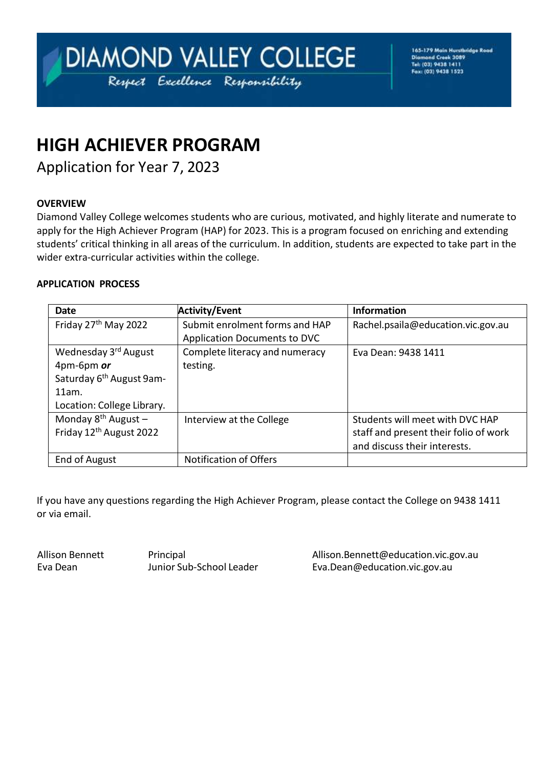# DIAMOND VALLEY COLLEGE Respect Excellence Responsibility

165-179 Main Hurstbridge Road<br>Diamond Creek 3089<br>Tel: (03) 9438 1411 Fax: (03) 9438 1523

# **HIGH ACHIEVER PROGRAM**

Application for Year 7, 2023

#### **OVERVIEW**

Diamond Valley College welcomes students who are curious, motivated, and highly literate and numerate to apply for the High Achiever Program (HAP) for 2023. This is a program focused on enriching and extending students' critical thinking in all areas of the curriculum. In addition, students are expected to take part in the wider extra-curricular activities within the college.

#### **APPLICATION PROCESS**

| <b>Date</b>                          | <b>Activity/Event</b>               | <b>Information</b>                    |
|--------------------------------------|-------------------------------------|---------------------------------------|
| Friday 27 <sup>th</sup> May 2022     | Submit enrolment forms and HAP      | Rachel.psaila@education.vic.gov.au    |
|                                      | <b>Application Documents to DVC</b> |                                       |
| Wednesday 3rd August                 | Complete literacy and numeracy      | Eva Dean: 9438 1411                   |
| 4pm-6pm or                           | testing.                            |                                       |
| Saturday 6 <sup>th</sup> August 9am- |                                     |                                       |
| 11am.                                |                                     |                                       |
| Location: College Library.           |                                     |                                       |
| Monday $8^{th}$ August -             | Interview at the College            | Students will meet with DVC HAP       |
| Friday 12 <sup>th</sup> August 2022  |                                     | staff and present their folio of work |
|                                      |                                     | and discuss their interests.          |
| End of August                        | <b>Notification of Offers</b>       |                                       |

If you have any questions regarding the High Achiever Program, please contact the College on 9438 1411 or via email.

Allison Bennett **Allison Bennett** Principal<br>
Eva Dean **Munior Sub-School Leader** Eva Dean@education.vic.gov.au Eva Dean Junior Sub-School Leader [Eva.Dean@education.vic.gov.au](mailto:Eva.Dean@education.vic.gov.au)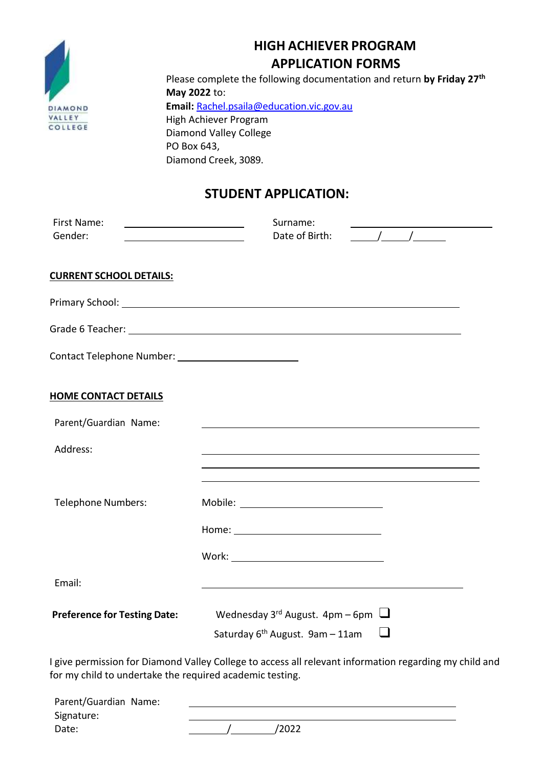

### **HIGH ACHIEVER PROGRAM APPLICATION FORMS**

Please complete the following documentation and return **by Friday 27th May 2022** to: **Email:** [Rachel.psaila@education.vic.gov.au](mailto:Rachel.psaila@education.vic.gov.au) High Achiever Program Diamond Valley College PO Box 643, Diamond Creek, 3089.

### **STUDENT APPLICATION:**

| Primary School: New York Changes and Changes and Changes and Changes and Changes and Changes and Changes and Changes and Changes and Changes and Changes and Changes and Changes and Changes and Changes and Changes and Chang                                                                                                                    |
|---------------------------------------------------------------------------------------------------------------------------------------------------------------------------------------------------------------------------------------------------------------------------------------------------------------------------------------------------|
|                                                                                                                                                                                                                                                                                                                                                   |
|                                                                                                                                                                                                                                                                                                                                                   |
|                                                                                                                                                                                                                                                                                                                                                   |
| <u> 1980 - Johann Stoff, deutscher Stoff, der Stoff, der Stoff, der Stoff, der Stoff, der Stoff, der Stoff, der S</u>                                                                                                                                                                                                                             |
|                                                                                                                                                                                                                                                                                                                                                   |
| the control of the control of the control of the control of the control of the control of the control of the control of the control of the control of the control of the control of the control of the control of the control<br>and the control of the control of the control of the control of the control of the control of the control of the |
|                                                                                                                                                                                                                                                                                                                                                   |
|                                                                                                                                                                                                                                                                                                                                                   |
|                                                                                                                                                                                                                                                                                                                                                   |
| <u> 1989 - Johann Barn, mars ann an t-Amhain ann an t-Amhain ann an t-Amhain ann an t-Amhain an t-Amhain ann an t-</u>                                                                                                                                                                                                                            |
| Wednesday 3 <sup>rd</sup> August. $4pm-6pm$                                                                                                                                                                                                                                                                                                       |
| ⊔<br>Saturday $6^{th}$ August. 9am - 11am                                                                                                                                                                                                                                                                                                         |
| I give permission for Diamond Valley College to access all relevant information regarding my child and                                                                                                                                                                                                                                            |

for my child to undertake the required academic testing.

| Parent/Guardian Name: |       |
|-----------------------|-------|
| Signature:            |       |
| Date:                 | /2022 |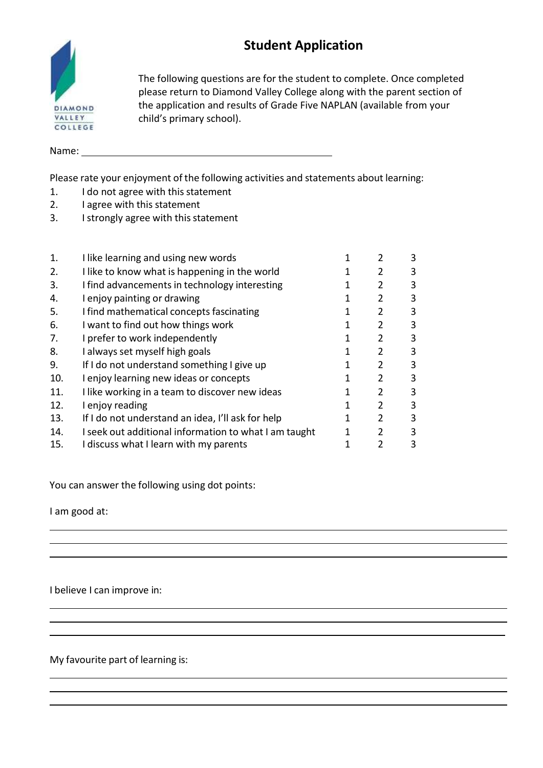# **Student Application**



The following questions are for the student to complete. Once completed please return to Diamond Valley College along with the parent section of the application and results of Grade Five NAPLAN (available from your child's primary school).

Name:

Please rate your enjoyment of the following activities and statements about learning:

- 1. I do not agree with this statement
- 2. I agree with this statement
- 3. I strongly agree with this statement

| $\mathbf{1}$ . | I like learning and using new words                   | 2              | 3 |
|----------------|-------------------------------------------------------|----------------|---|
| 2.             | I like to know what is happening in the world         | 2              | 3 |
| 3.             | I find advancements in technology interesting         | 2              | 3 |
| 4.             | I enjoy painting or drawing                           | 2              | 3 |
| 5.             | I find mathematical concepts fascinating              | $\overline{2}$ | 3 |
| 6.             | I want to find out how things work                    | 2              | 3 |
| 7.             | I prefer to work independently                        | 2              | 3 |
| 8.             | I always set myself high goals                        | 2              | 3 |
| 9.             | If I do not understand something I give up            | C,             | 3 |
| 10.            | I enjoy learning new ideas or concepts                | 2              | 3 |
| 11.            | I like working in a team to discover new ideas        | 2              | 3 |
| 12.            | I enjoy reading                                       | 2              | 3 |
| 13.            | If I do not understand an idea, I'll ask for help     | 2              | 3 |
| 14.            | I seek out additional information to what I am taught | C,             | 3 |
| 15.            | I discuss what I learn with my parents                | C              | 3 |

You can answer the following using dot points:

I am good at:

I believe I can improve in:

My favourite part of learning is: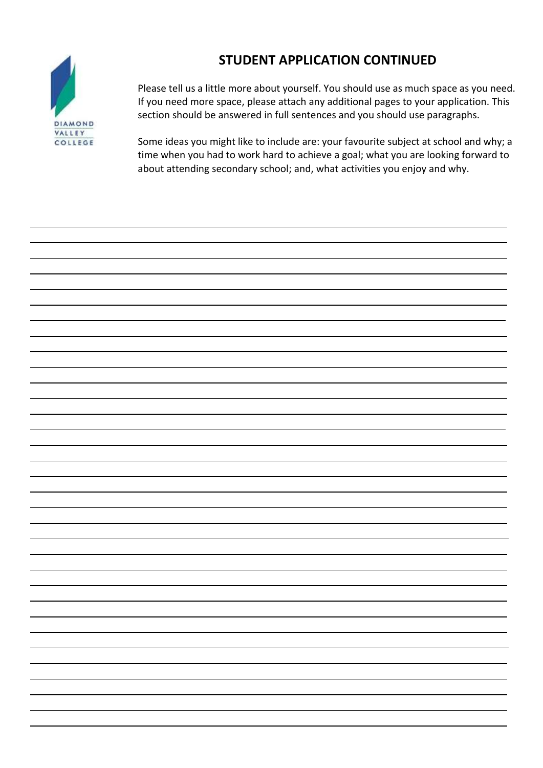## **STUDENT APPLICATION CONTINUED**



Please tell us a little more about yourself. You should use as much space as you need. If you need more space, please attach any additional pages to your application. This section should be answered in full sentences and you should use paragraphs.

Some ideas you might like to include are: your favourite subject at school and why; a time when you had to work hard to achieve a goal; what you are looking forward to about attending secondary school; and, what activities you enjoy and why.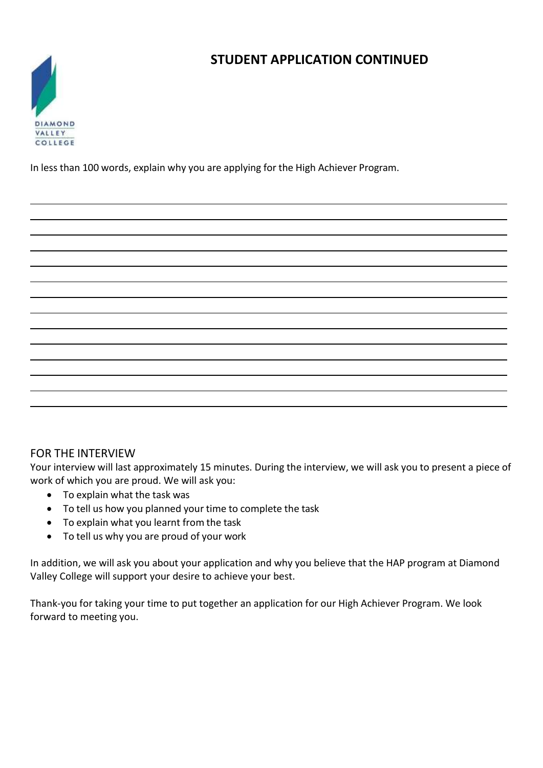## **STUDENT APPLICATION CONTINUED**



In less than 100 words, explain why you are applying for the High Achiever Program.

| __                           |  |  |
|------------------------------|--|--|
| ___                          |  |  |
|                              |  |  |
| and the contract of the con- |  |  |
|                              |  |  |
|                              |  |  |
|                              |  |  |
|                              |  |  |
|                              |  |  |

#### FOR THE INTERVIEW

Your interview will last approximately 15 minutes. During the interview, we will ask you to present a piece of work of which you are proud. We will ask you:

- To explain what the task was
- To tell us how you planned your time to complete the task
- To explain what you learnt from the task
- To tell us why you are proud of your work

In addition, we will ask you about your application and why you believe that the HAP program at Diamond Valley College will support your desire to achieve your best.

Thank‐you for taking your time to put together an application for our High Achiever Program. We look forward to meeting you.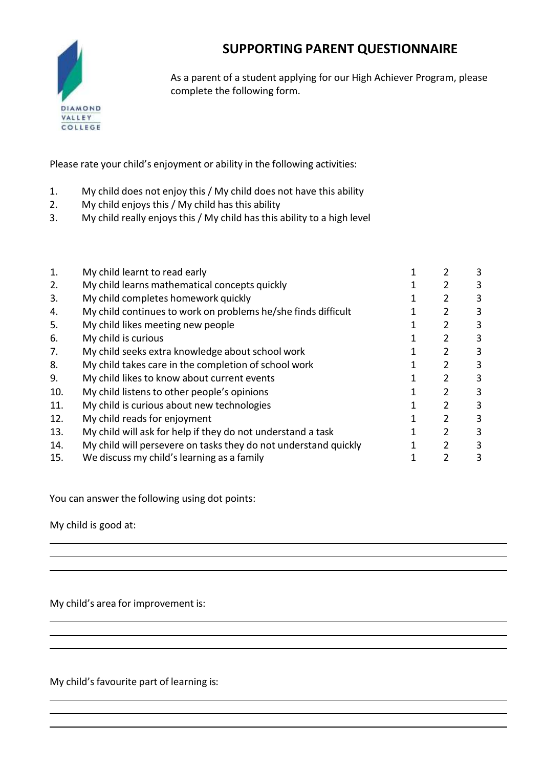### **SUPPORTING PARENT QUESTIONNAIRE**



As a parent of a student applying for our High Achiever Program, please complete the following form.

Please rate your child's enjoyment or ability in the following activities:

- 1. My child does not enjoy this / My child does not have this ability
- 2. My child enjoys this / My child has this ability
- 3. My child really enjoys this / My child has this ability to a high level

| $\mathbf{1}$ | My child learnt to read early                                   |   | 3 |
|--------------|-----------------------------------------------------------------|---|---|
| 2.           | My child learns mathematical concepts quickly                   |   | 3 |
| 3.           | My child completes homework quickly                             | 2 | 3 |
| 4.           | My child continues to work on problems he/she finds difficult   |   | 3 |
| 5.           | My child likes meeting new people                               | 2 | 3 |
| 6.           | My child is curious                                             |   | 3 |
| 7.           | My child seeks extra knowledge about school work                | 2 | 3 |
| 8.           | My child takes care in the completion of school work            |   | 3 |
| 9.           | My child likes to know about current events                     | 2 | 3 |
| 10.          | My child listens to other people's opinions                     |   | 3 |
| 11.          | My child is curious about new technologies                      | 2 | 3 |
| 12.          | My child reads for enjoyment                                    |   | 3 |
| 13.          | My child will ask for help if they do not understand a task     | 2 | 3 |
| 14.          | My child will persevere on tasks they do not understand quickly |   | 3 |
| 15.          | We discuss my child's learning as a family                      |   | 3 |
|              |                                                                 |   |   |

You can answer the following using dot points:

My child is good at:

My child's area for improvement is:

My child's favourite part of learning is: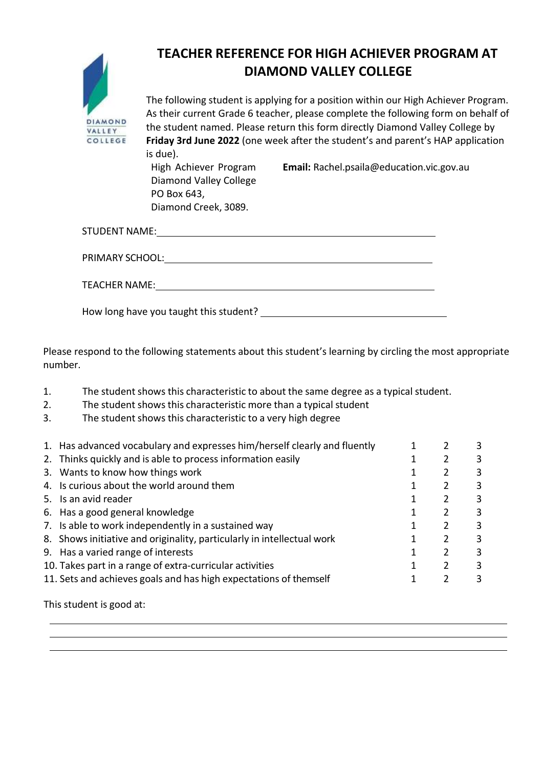

# **TEACHER REFERENCE FOR HIGH ACHIEVER PROGRAM AT DIAMOND VALLEY COLLEGE**

The following student is applying for a position within our High Achiever Program. As their current Grade 6 teacher, please complete the following form on behalf of the student named. Please return this form directly Diamond Valley College by **Friday 3rd June 2022** (one week after the student's and parent's HAP application is due).

**Email:** [Rachel.psaila@education.vic.gov.au](mailto:Rachel.psaila@education.vic.gov.au)

High Achiever Program Diamond Valley College PO Box 643, Diamond Creek, 3089.

| STUDENT NAME:   |
|-----------------|
| PRIMARY SCHOOL: |
| TEACHER NAME:   |

How long have you taught this student? \_\_\_\_\_\_\_

Please respond to the following statements about this student's learning by circling the most appropriate number.

|  | The student shows this characteristic to about the same degree as a typical student. |
|--|--------------------------------------------------------------------------------------|
|--|--------------------------------------------------------------------------------------|

- 2. The student shows this characteristic more than a typical student
- 3. The student shows this characteristic to a very high degree

| 1. Has advanced vocabulary and expresses him/herself clearly and fluently |  |  |
|---------------------------------------------------------------------------|--|--|
| 2. Thinks quickly and is able to process information easily               |  |  |
| 3. Wants to know how things work                                          |  |  |
| 4. Is curious about the world around them                                 |  |  |
| 5. Is an avid reader                                                      |  |  |
| 6. Has a good general knowledge                                           |  |  |
| 7. Is able to work independently in a sustained way                       |  |  |
| 8. Shows initiative and originality, particularly in intellectual work    |  |  |
| 9. Has a varied range of interests                                        |  |  |
| 10. Takes part in a range of extra-curricular activities                  |  |  |
| 11. Sets and achieves goals and has high expectations of themself         |  |  |
|                                                                           |  |  |

This student is good at: